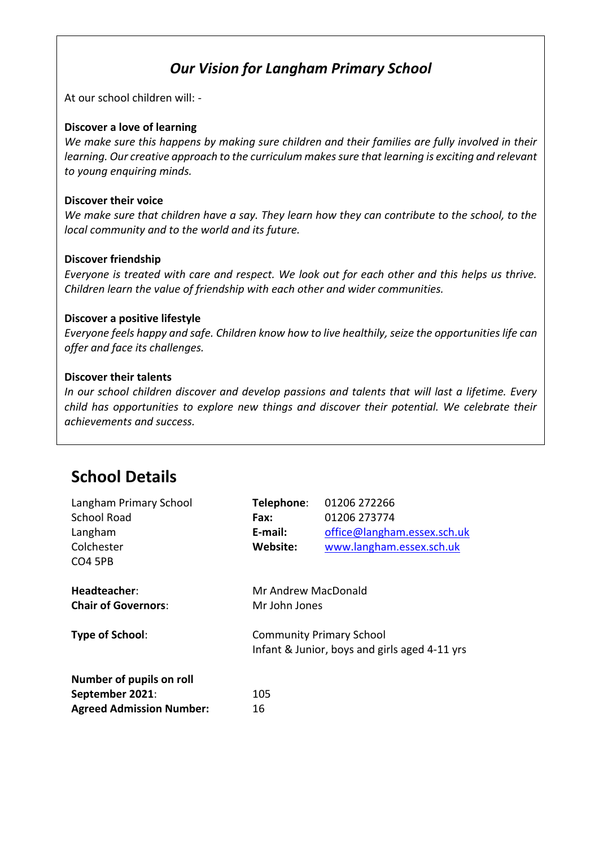### *Our Vision for Langham Primary School*

At our school children will: -

#### **Discover a love of learning**

*We make sure this happens by making sure children and their families are fully involved in their learning. Our creative approach to the curriculum makes sure that learning is exciting and relevant to young enquiring minds.*

#### **Discover their voice**

*We make sure that children have a say. They learn how they can contribute to the school, to the local community and to the world and its future.*

#### **Discover friendship**

*Everyone is treated with care and respect. We look out for each other and this helps us thrive. Children learn the value of friendship with each other and wider communities.* 

#### **Discover a positive lifestyle**

*Everyone feels happy and safe. Children know how to live healthily, seize the opportunities life can offer and face its challenges.* 

#### **Discover their talents**

*In our school children discover and develop passions and talents that will last a lifetime. Every child has opportunities to explore new things and discover their potential. We celebrate their achievements and success.* 

## **School Details**

| Langham Primary School          | Telephone:                                    | 01206 272266                |  |
|---------------------------------|-----------------------------------------------|-----------------------------|--|
| School Road                     | Fax:                                          | 01206 273774                |  |
| Langham                         | E-mail:                                       | office@langham.essex.sch.uk |  |
| Colchester                      | Website:                                      | www.langham.essex.sch.uk    |  |
| CO <sub>4</sub> 5PB             |                                               |                             |  |
| Headteacher:                    | Mr Andrew MacDonald                           |                             |  |
| <b>Chair of Governors:</b>      | Mr John Jones                                 |                             |  |
| Type of School:                 | <b>Community Primary School</b>               |                             |  |
|                                 | Infant & Junior, boys and girls aged 4-11 yrs |                             |  |
| Number of pupils on roll        |                                               |                             |  |
| September 2021:                 | 105                                           |                             |  |
| <b>Agreed Admission Number:</b> | 16                                            |                             |  |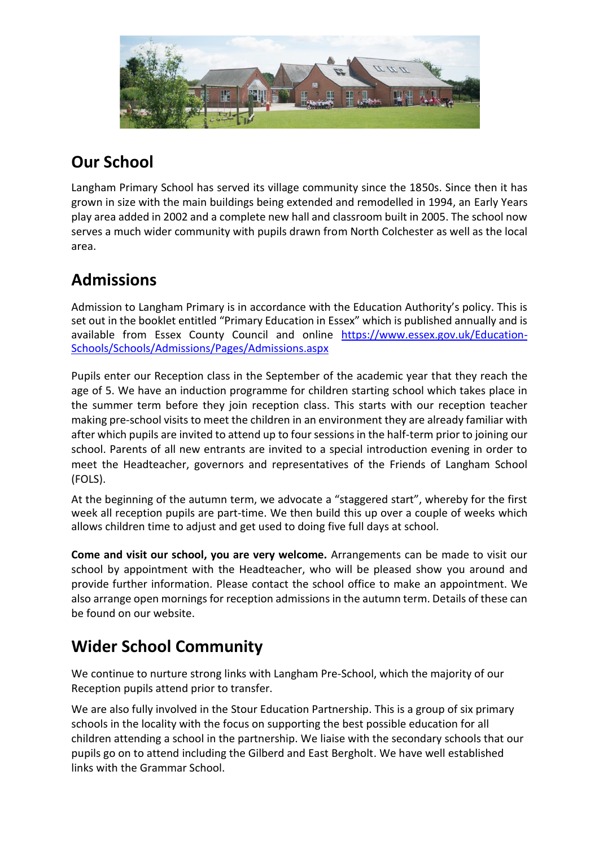

# **Our School**

Langham Primary School has served its village community since the 1850s. Since then it has grown in size with the main buildings being extended and remodelled in 1994, an Early Years play area added in 2002 and a complete new hall and classroom built in 2005. The school now serves a much wider community with pupils drawn from North Colchester as well as the local area.

## **Admissions**

Admission to Langham Primary is in accordance with the Education Authority's policy. This is set out in the booklet entitled "Primary Education in Essex" which is published annually and is available from Essex County Council and online [https://www.essex.gov.uk/Education-](https://www.essex.gov.uk/Education-Schools/Schools/Admissions/Pages/Admissions.aspx)[Schools/Schools/Admissions/Pages/Admissions.aspx](https://www.essex.gov.uk/Education-Schools/Schools/Admissions/Pages/Admissions.aspx)

Pupils enter our Reception class in the September of the academic year that they reach the age of 5. We have an induction programme for children starting school which takes place in the summer term before they join reception class. This starts with our reception teacher making pre-school visits to meet the children in an environment they are already familiar with after which pupils are invited to attend up to four sessions in the half-term prior to joining our school. Parents of all new entrants are invited to a special introduction evening in order to meet the Headteacher, governors and representatives of the Friends of Langham School (FOLS).

At the beginning of the autumn term, we advocate a "staggered start", whereby for the first week all reception pupils are part-time. We then build this up over a couple of weeks which allows children time to adjust and get used to doing five full days at school.

**Come and visit our school, you are very welcome.** Arrangements can be made to visit our school by appointment with the Headteacher, who will be pleased show you around and provide further information. Please contact the school office to make an appointment. We also arrange open mornings for reception admissions in the autumn term. Details of these can be found on our website.

# **Wider School Community**

We continue to nurture strong links with Langham Pre-School, which the majority of our Reception pupils attend prior to transfer.

We are also fully involved in the Stour Education Partnership. This is a group of six primary schools in the locality with the focus on supporting the best possible education for all children attending a school in the partnership. We liaise with the secondary schools that our pupils go on to attend including the Gilberd and East Bergholt. We have well established links with the Grammar School.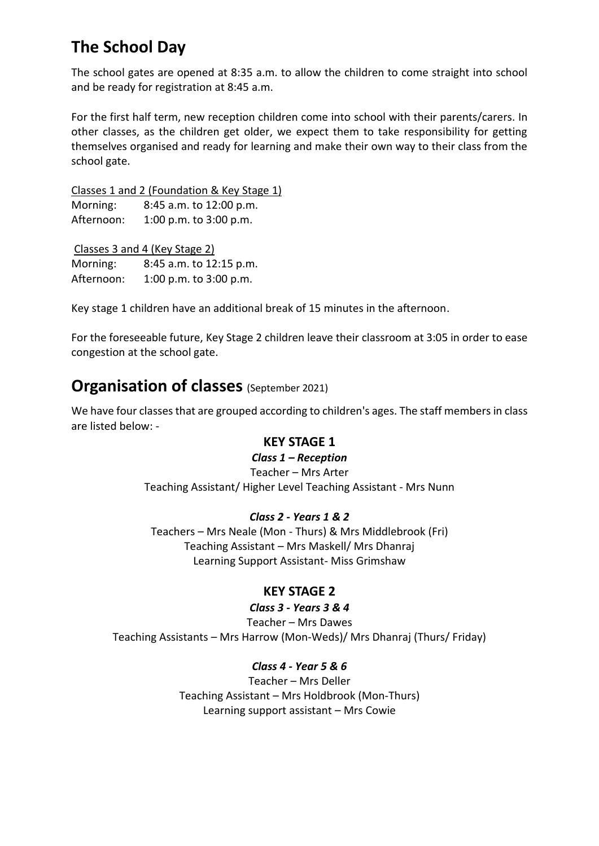## **The School Day**

The school gates are opened at 8:35 a.m. to allow the children to come straight into school and be ready for registration at 8:45 a.m.

For the first half term, new reception children come into school with their parents/carers. In other classes, as the children get older, we expect them to take responsibility for getting themselves organised and ready for learning and make their own way to their class from the school gate.

Classes 1 and 2 (Foundation & Key Stage 1) Morning: 8:45 a.m. to 12:00 p.m. Afternoon: 1:00 p.m. to 3:00 p.m.

Classes 3 and 4 (Key Stage 2) Morning: 8:45 a.m. to 12:15 p.m. Afternoon: 1:00 p.m. to 3:00 p.m.

Key stage 1 children have an additional break of 15 minutes in the afternoon.

For the foreseeable future, Key Stage 2 children leave their classroom at 3:05 in order to ease congestion at the school gate.

### **Organisation of classes** (September 2021)

We have four classes that are grouped according to children's ages. The staff members in class are listed below: -

### **KEY STAGE 1**

#### *Class 1 – Reception*

Teacher – Mrs Arter Teaching Assistant/ Higher Level Teaching Assistant - Mrs Nunn

### *Class 2 - Years 1 & 2*

Teachers – Mrs Neale (Mon - Thurs) & Mrs Middlebrook (Fri) Teaching Assistant – Mrs Maskell/ Mrs Dhanraj Learning Support Assistant- Miss Grimshaw

### **KEY STAGE 2**

#### *Class 3 - Years 3 & 4*

Teacher – Mrs Dawes Teaching Assistants – Mrs Harrow (Mon-Weds)/ Mrs Dhanraj (Thurs/ Friday)

> *Class 4 - Year 5 & 6* Teacher – Mrs Deller Teaching Assistant – Mrs Holdbrook (Mon-Thurs) Learning support assistant – Mrs Cowie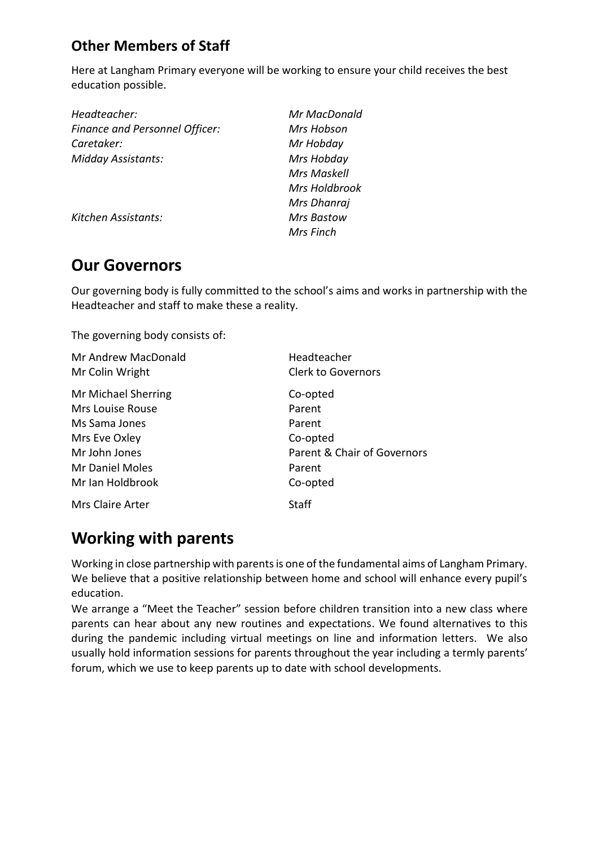### **Other Members of Staff**

Here at Langham Primary everyone will be working to ensure your child receives the best education possible.

| Mr MacDonald       |
|--------------------|
| Mrs Hobson         |
| Mr Hobday          |
| Mrs Hobday         |
| <b>Mrs Maskell</b> |
| Mrs Holdbrook      |
| Mrs Dhanraj        |
| <b>Mrs Bastow</b>  |
| Mrs Finch          |
|                    |

### **Our Governors**

Our governing body is fully committed to the school's aims and works in partnership with the Headteacher and staff to make these a reality.

The governing body consists of:

| Mr Andrew MacDonald    | Headteacher                 |
|------------------------|-----------------------------|
| Mr Colin Wright        | <b>Clerk to Governors</b>   |
| Mr Michael Sherring    | Co-opted                    |
| Mrs Louise Rouse       | Parent                      |
| Ms Sama Jones          | Parent                      |
| Mrs Eve Oxley          | Co-opted                    |
| Mr John Jones          | Parent & Chair of Governors |
| <b>Mr Daniel Moles</b> | Parent                      |
| Mr Ian Holdbrook       | Co-opted                    |
| Mrs Claire Arter       | Staff                       |

## **Working with parents**

Working in close partnership with parents is one of the fundamental aims of Langham Primary. We believe that a positive relationship between home and school will enhance every pupil's education.

We arrange a "Meet the Teacher" session before children transition into a new class where parents can hear about any new routines and expectations. We found alternatives to this during the pandemic including virtual meetings on line and information letters. We also usually hold information sessions for parents throughout the year including a termly parents' forum, which we use to keep parents up to date with school developments.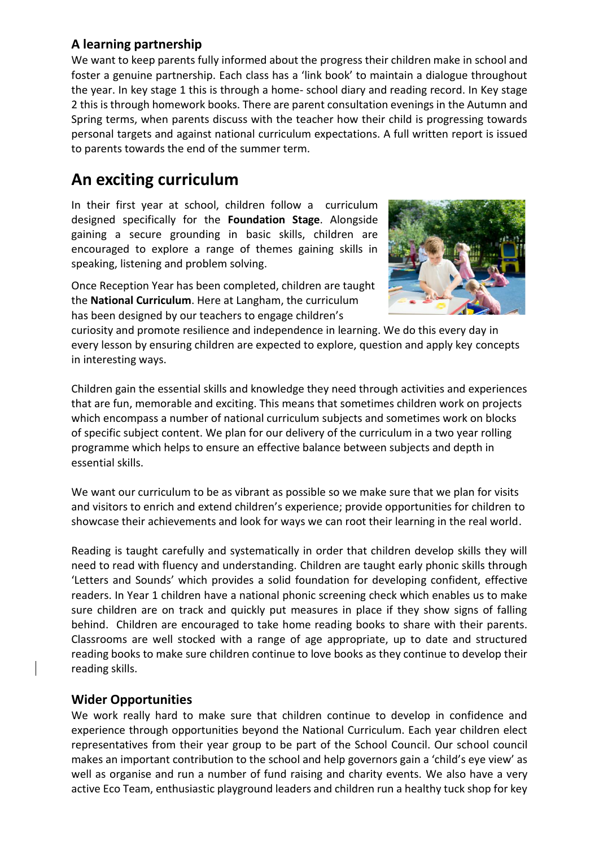### **A learning partnership**

We want to keep parents fully informed about the progress their children make in school and foster a genuine partnership. Each class has a 'link book' to maintain a dialogue throughout the year. In key stage 1 this is through a home- school diary and reading record. In Key stage 2 this is through homework books. There are parent consultation evenings in the Autumn and Spring terms, when parents discuss with the teacher how their child is progressing towards personal targets and against national curriculum expectations. A full written report is issued to parents towards the end of the summer term.

### **An exciting curriculum**

In their first year at school, children follow a curriculum designed specifically for the **Foundation Stage**. Alongside gaining a secure grounding in basic skills, children are encouraged to explore a range of themes gaining skills in speaking, listening and problem solving.



Once Reception Year has been completed, children are taught the **National Curriculum**. Here at Langham, the curriculum has been designed by our teachers to engage children's

curiosity and promote resilience and independence in learning. We do this every day in every lesson by ensuring children are expected to explore, question and apply key concepts in interesting ways.

Children gain the essential skills and knowledge they need through activities and experiences that are fun, memorable and exciting. This means that sometimes children work on projects which encompass a number of national curriculum subjects and sometimes work on blocks of specific subject content. We plan for our delivery of the curriculum in a two year rolling programme which helps to ensure an effective balance between subjects and depth in essential skills.

We want our curriculum to be as vibrant as possible so we make sure that we plan for visits and visitors to enrich and extend children's experience; provide opportunities for children to showcase their achievements and look for ways we can root their learning in the real world.

Reading is taught carefully and systematically in order that children develop skills they will need to read with fluency and understanding. Children are taught early phonic skills through 'Letters and Sounds' which provides a solid foundation for developing confident, effective readers. In Year 1 children have a national phonic screening check which enables us to make sure children are on track and quickly put measures in place if they show signs of falling behind. Children are encouraged to take home reading books to share with their parents. Classrooms are well stocked with a range of age appropriate, up to date and structured reading books to make sure children continue to love books as they continue to develop their reading skills.

### **Wider Opportunities**

We work really hard to make sure that children continue to develop in confidence and experience through opportunities beyond the National Curriculum. Each year children elect representatives from their year group to be part of the School Council. Our school council makes an important contribution to the school and help governors gain a 'child's eye view' as well as organise and run a number of fund raising and charity events. We also have a very active Eco Team, enthusiastic playground leaders and children run a healthy tuck shop for key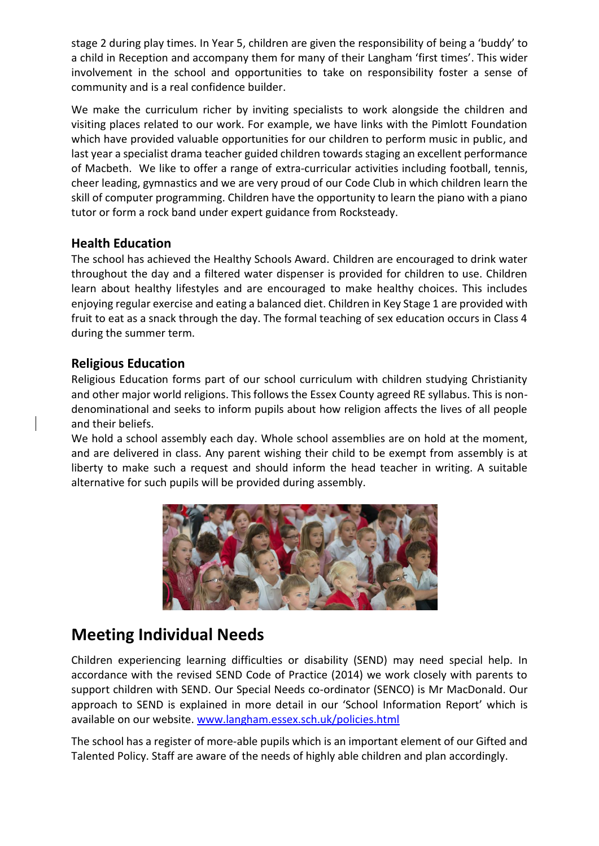stage 2 during play times. In Year 5, children are given the responsibility of being a 'buddy' to a child in Reception and accompany them for many of their Langham 'first times'. This wider involvement in the school and opportunities to take on responsibility foster a sense of community and is a real confidence builder.

We make the curriculum richer by inviting specialists to work alongside the children and visiting places related to our work. For example, we have links with the Pimlott Foundation which have provided valuable opportunities for our children to perform music in public, and last year a specialist drama teacher guided children towards staging an excellent performance of Macbeth. We like to offer a range of extra-curricular activities including football, tennis, cheer leading, gymnastics and we are very proud of our Code Club in which children learn the skill of computer programming. Children have the opportunity to learn the piano with a piano tutor or form a rock band under expert guidance from Rocksteady.

### **Health Education**

The school has achieved the Healthy Schools Award. Children are encouraged to drink water throughout the day and a filtered water dispenser is provided for children to use. Children learn about healthy lifestyles and are encouraged to make healthy choices. This includes enjoying regular exercise and eating a balanced diet. Children in Key Stage 1 are provided with fruit to eat as a snack through the day. The formal teaching of sex education occurs in Class 4 during the summer term.

### **Religious Education**

Religious Education forms part of our school curriculum with children studying Christianity and other major world religions. This follows the Essex County agreed RE syllabus. This is nondenominational and seeks to inform pupils about how religion affects the lives of all people and their beliefs.

We hold a school assembly each day. Whole school assemblies are on hold at the moment, and are delivered in class. Any parent wishing their child to be exempt from assembly is at liberty to make such a request and should inform the head teacher in writing. A suitable alternative for such pupils will be provided during assembly.



## **Meeting Individual Needs**

Children experiencing learning difficulties or disability (SEND) may need special help. In accordance with the revised SEND Code of Practice (2014) we work closely with parents to support children with SEND. Our Special Needs co-ordinator (SENCO) is Mr MacDonald. Our approach to SEND is explained in more detail in our 'School Information Report' which is available on our website[. www.langham.essex.sch.uk/policies.html](http://www.langham.essex.sch.uk/policies.html)

The school has a register of more-able pupils which is an important element of our Gifted and Talented Policy. Staff are aware of the needs of highly able children and plan accordingly.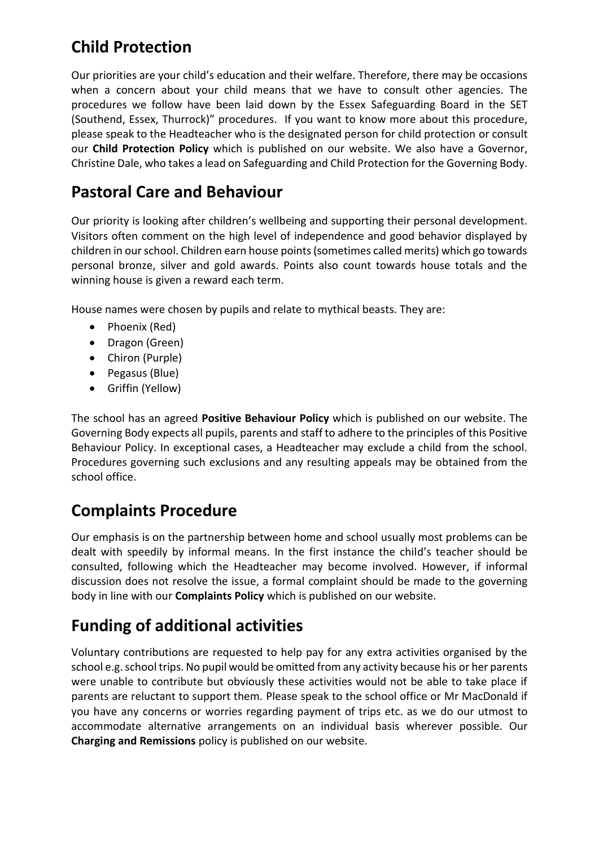# **Child Protection**

Our priorities are your child's education and their welfare. Therefore, there may be occasions when a concern about your child means that we have to consult other agencies. The procedures we follow have been laid down by the Essex Safeguarding Board in the SET (Southend, Essex, Thurrock)" procedures. If you want to know more about this procedure, please speak to the Headteacher who is the designated person for child protection or consult our **Child Protection Policy** which is published on our website. We also have a Governor, Christine Dale, who takes a lead on Safeguarding and Child Protection for the Governing Body.

## **Pastoral Care and Behaviour**

Our priority is looking after children's wellbeing and supporting their personal development. Visitors often comment on the high level of independence and good behavior displayed by children in our school. Children earn house points (sometimes called merits) which go towards personal bronze, silver and gold awards. Points also count towards house totals and the winning house is given a reward each term.

House names were chosen by pupils and relate to mythical beasts. They are:

- Phoenix (Red)
- Dragon (Green)
- Chiron (Purple)
- Pegasus (Blue)
- Griffin (Yellow)

The school has an agreed **Positive Behaviour Policy** which is published on our website. The Governing Body expects all pupils, parents and staff to adhere to the principles of this Positive Behaviour Policy. In exceptional cases, a Headteacher may exclude a child from the school. Procedures governing such exclusions and any resulting appeals may be obtained from the school office.

# **Complaints Procedure**

Our emphasis is on the partnership between home and school usually most problems can be dealt with speedily by informal means. In the first instance the child's teacher should be consulted, following which the Headteacher may become involved. However, if informal discussion does not resolve the issue, a formal complaint should be made to the governing body in line with our **Complaints Policy** which is published on our website.

# **Funding of additional activities**

Voluntary contributions are requested to help pay for any extra activities organised by the school e.g. school trips. No pupil would be omitted from any activity because his or her parents were unable to contribute but obviously these activities would not be able to take place if parents are reluctant to support them. Please speak to the school office or Mr MacDonald if you have any concerns or worries regarding payment of trips etc. as we do our utmost to accommodate alternative arrangements on an individual basis wherever possible. Our **Charging and Remissions** policy is published on our website.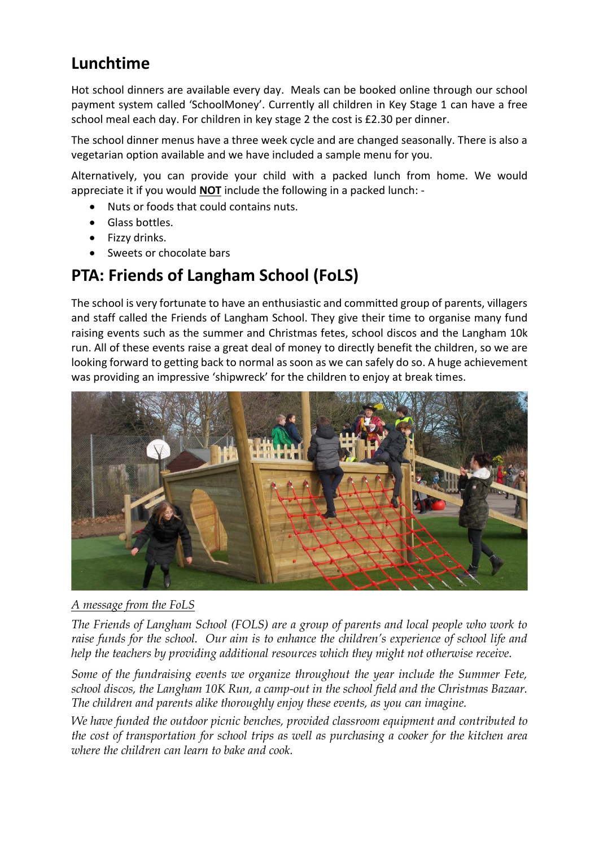## **Lunchtime**

Hot school dinners are available every day. Meals can be booked online through our school payment system called 'SchoolMoney'. Currently all children in Key Stage 1 can have a free school meal each day. For children in key stage 2 the cost is £2.30 per dinner.

The school dinner menus have a three week cycle and are changed seasonally. There is also a vegetarian option available and we have included a sample menu for you.

Alternatively, you can provide your child with a packed lunch from home. We would appreciate it if you would **NOT** include the following in a packed lunch: -

- Nuts or foods that could contains nuts.
- Glass bottles.
- Fizzy drinks.
- Sweets or chocolate bars

### **PTA: Friends of Langham School (FoLS)**

The school is very fortunate to have an enthusiastic and committed group of parents, villagers and staff called the Friends of Langham School. They give their time to organise many fund raising events such as the summer and Christmas fetes, school discos and the Langham 10k run. All of these events raise a great deal of money to directly benefit the children, so we are looking forward to getting back to normal as soon as we can safely do so. A huge achievement was providing an impressive 'shipwreck' for the children to enjoy at break times.



*A message from the FoLS*

*The Friends of Langham School (FOLS) are a group of parents and local people who work to raise funds for the school. Our aim is to enhance the children's experience of school life and help the teachers by providing additional resources which they might not otherwise receive.*

*Some of the fundraising events we organize throughout the year include the Summer Fete, school discos, the Langham 10K Run, a camp-out in the school field and the Christmas Bazaar. The children and parents alike thoroughly enjoy these events, as you can imagine.*

*We have funded the outdoor picnic benches, provided classroom equipment and contributed to the cost of transportation for school trips as well as purchasing a cooker for the kitchen area where the children can learn to bake and cook.*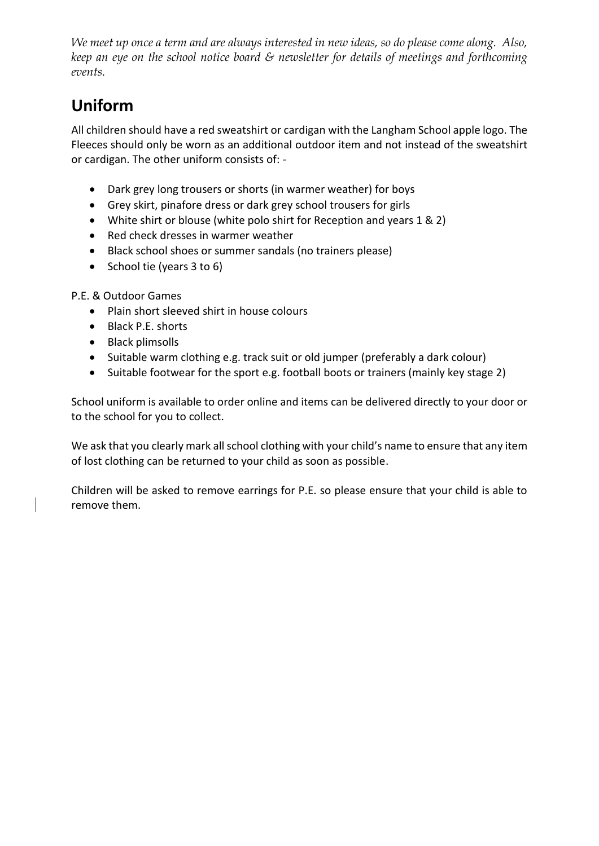*We meet up once a term and are always interested in new ideas, so do please come along. Also, keep an eye on the school notice board & newsletter for details of meetings and forthcoming events.*

# **Uniform**

All children should have a red sweatshirt or cardigan with the Langham School apple logo. The Fleeces should only be worn as an additional outdoor item and not instead of the sweatshirt or cardigan. The other uniform consists of: -

- Dark grey long trousers or shorts (in warmer weather) for boys
- Grey skirt, pinafore dress or dark grey school trousers for girls
- White shirt or blouse (white polo shirt for Reception and years 1 & 2)
- Red check dresses in warmer weather
- Black school shoes or summer sandals (no trainers please)
- School tie (years 3 to 6)

### P.E. & Outdoor Games

- Plain short sleeved shirt in house colours
- Black P.E. shorts
- Black plimsolls
- Suitable warm clothing e.g. track suit or old jumper (preferably a dark colour)
- Suitable footwear for the sport e.g. football boots or trainers (mainly key stage 2)

School uniform is available to order online and items can be delivered directly to your door or to the school for you to collect.

We ask that you clearly mark all school clothing with your child's name to ensure that any item of lost clothing can be returned to your child as soon as possible.

Children will be asked to remove earrings for P.E. so please ensure that your child is able to remove them.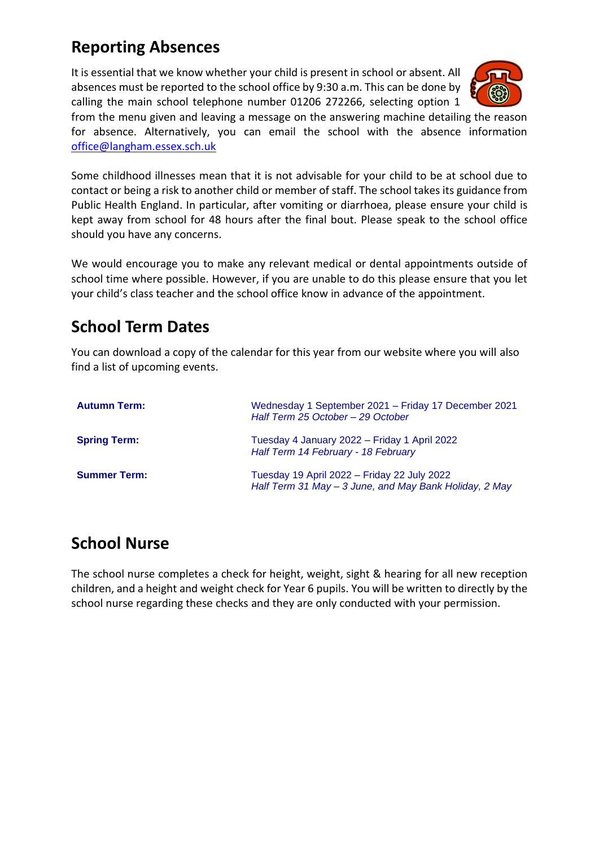## **Reporting Absences**

It is essential that we know whether your child is present in school or absent. All absences must be reported to the school office by 9:30 a.m. This can be done by calling the main school telephone number 01206 272266, selecting option 1



from the menu given and leaving a message on the answering machine detailing the reason for absence. Alternatively, you can email the school with the absence information [office@langham.essex.sch.uk](mailto:office@langham.essex.sch.uk)

Some childhood illnesses mean that it is not advisable for your child to be at school due to contact or being a risk to another child or member of staff. The school takes its guidance from Public Health England. In particular, after vomiting or diarrhoea, please ensure your child is kept away from school for 48 hours after the final bout. Please speak to the school office should you have any concerns.

We would encourage you to make any relevant medical or dental appointments outside of school time where possible. However, if you are unable to do this please ensure that you let your child's class teacher and the school office know in advance of the appointment.

### **School Term Dates**

You can download a copy of the calendar for this year from our website where you will also find a list of upcoming events.

| <b>Autumn Term:</b> | Wednesday 1 September 2021 - Friday 17 December 2021<br>Half Term 25 October - 29 October             |
|---------------------|-------------------------------------------------------------------------------------------------------|
| <b>Spring Term:</b> | Tuesday 4 January 2022 - Friday 1 April 2022<br>Half Term 14 February - 18 February                   |
| <b>Summer Term:</b> | Tuesday 19 April 2022 – Friday 22 July 2022<br>Half Term 31 May - 3 June, and May Bank Holiday, 2 May |

## **School Nurse**

The school nurse completes a check for height, weight, sight & hearing for all new reception children, and a height and weight check for Year 6 pupils. You will be written to directly by the school nurse regarding these checks and they are only conducted with your permission.